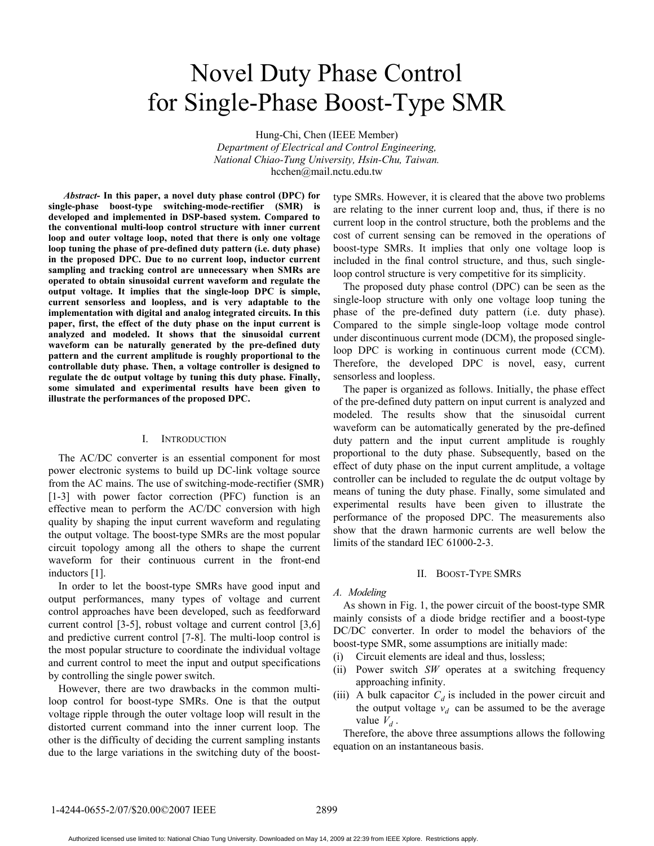# Novel Duty Phase Control for Single-Phase Boost-Type SMR

Hung-Chi, Chen (IEEE Member) *Department of Electrical and Control Engineering, National Chiao-Tung University, Hsin-Chu, Taiwan.*  hcchen@mail.nctu.edu.tw

*Abstract-* **In this paper, a novel duty phase control (DPC) for single-phase boost-type switching-mode-rectifier (SMR) is developed and implemented in DSP-based system. Compared to the conventional multi-loop control structure with inner current loop and outer voltage loop, noted that there is only one voltage loop tuning the phase of pre-defined duty pattern (i.e. duty phase) in the proposed DPC. Due to no current loop, inductor current sampling and tracking control are unnecessary when SMRs are operated to obtain sinusoidal current waveform and regulate the output voltage. It implies that the single-loop DPC is simple, current sensorless and loopless, and is very adaptable to the implementation with digital and analog integrated circuits. In this paper, first, the effect of the duty phase on the input current is analyzed and modeled. It shows that the sinusoidal current waveform can be naturally generated by the pre-defined duty pattern and the current amplitude is roughly proportional to the controllable duty phase. Then, a voltage controller is designed to regulate the dc output voltage by tuning this duty phase. Finally, some simulated and experimental results have been given to illustrate the performances of the proposed DPC.** 

## I. INTRODUCTION

The AC/DC converter is an essential component for most power electronic systems to build up DC-link voltage source from the AC mains. The use of switching-mode-rectifier (SMR) [1-3] with power factor correction (PFC) function is an effective mean to perform the AC/DC conversion with high quality by shaping the input current waveform and regulating the output voltage. The boost-type SMRs are the most popular circuit topology among all the others to shape the current waveform for their continuous current in the front-end inductors [1].

In order to let the boost-type SMRs have good input and output performances, many types of voltage and current control approaches have been developed, such as feedforward current control [3-5], robust voltage and current control [3,6] and predictive current control [7-8]. The multi-loop control is the most popular structure to coordinate the individual voltage and current control to meet the input and output specifications by controlling the single power switch.

However, there are two drawbacks in the common multiloop control for boost-type SMRs. One is that the output voltage ripple through the outer voltage loop will result in the distorted current command into the inner current loop. The other is the difficulty of deciding the current sampling instants due to the large variations in the switching duty of the boosttype SMRs. However, it is cleared that the above two problems are relating to the inner current loop and, thus, if there is no current loop in the control structure, both the problems and the cost of current sensing can be removed in the operations of boost-type SMRs. It implies that only one voltage loop is included in the final control structure, and thus, such singleloop control structure is very competitive for its simplicity.

The proposed duty phase control (DPC) can be seen as the single-loop structure with only one voltage loop tuning the phase of the pre-defined duty pattern (i.e. duty phase). Compared to the simple single-loop voltage mode control under discontinuous current mode (DCM), the proposed singleloop DPC is working in continuous current mode (CCM). Therefore, the developed DPC is novel, easy, current sensorless and loopless.

The paper is organized as follows. Initially, the phase effect of the pre-defined duty pattern on input current is analyzed and modeled. The results show that the sinusoidal current waveform can be automatically generated by the pre-defined duty pattern and the input current amplitude is roughly proportional to the duty phase. Subsequently, based on the effect of duty phase on the input current amplitude, a voltage controller can be included to regulate the dc output voltage by means of tuning the duty phase. Finally, some simulated and experimental results have been given to illustrate the performance of the proposed DPC. The measurements also show that the drawn harmonic currents are well below the limits of the standard IEC 61000-2-3.

#### II. BOOST-TYPE SMRS

## *A. Modeling*

As shown in Fig. 1, the power circuit of the boost-type SMR mainly consists of a diode bridge rectifier and a boost-type DC/DC converter. In order to model the behaviors of the boost-type SMR, some assumptions are initially made:

- (i) Circuit elements are ideal and thus, lossless;
- (ii) Power switch *SW* operates at a switching frequency approaching infinity.
- (iii) A bulk capacitor  $C_d$  is included in the power circuit and the output voltage  $v_d$  can be assumed to be the average value  $V_d$ .

Therefore, the above three assumptions allows the following equation on an instantaneous basis.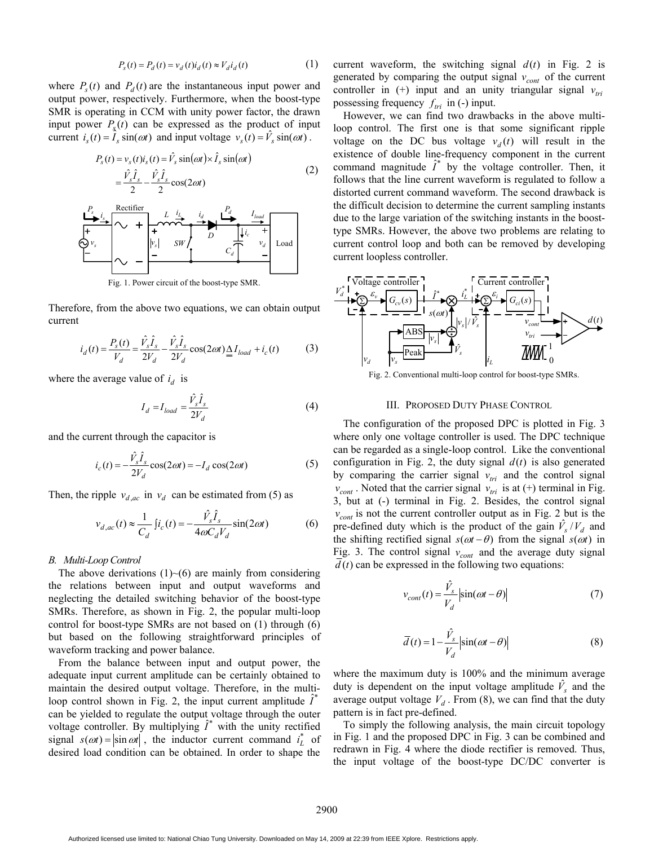$$
P_s(t) = P_d(t) = v_d(t)i_d(t) \approx V_d i_d(t)
$$
 (1)

where  $P_s(t)$  and  $P_d(t)$  are the instantaneous input power and output power, respectively. Furthermore, when the boost-type SMR is operating in CCM with unity power factor, the drawn input power  $P<sub>s</sub>(t)$  can be expressed as the product of input current  $i_s(t) = I_s \sin(\omega t)$  and input voltage  $v_s(t) = V_s \sin(\omega t)$ .

$$
P_s(t) = v_s(t)i_s(t) = \hat{V}_s \sin(\omega t) \times \hat{I}_s \sin(\omega t)
$$
  
\n
$$
= \frac{\hat{V}_s \hat{I}_s}{2} - \frac{\hat{V}_s \hat{I}_s}{2} \cos(2\omega t)
$$
  
\n
$$
P_s \frac{i_s}{2} + \frac{\text{Rectifier}}{\sqrt{1 + \frac{\hat{I}_s}{|V_s|} + \frac{\hat{I}_d}{2}} \sin\left(\frac{P_d}{P_d}\right)} - \frac{\sum_{\text{load}} \frac{I_{\text{load}}}{V_d}}{\sum_{\text{total}} \frac{V_s}{V_d}} \cos(1 + \frac{\sum_{\text{total}} \frac{I_s}{V_d}}{C_d}) - \frac{\sum_{\text{total}} \frac{V_s}{V_d}}{\sum_{\text{total}} \frac{V_s}{V_d}} \cos(1 + \frac{\sum_{\text{total}} \frac{I_s}{V_d}}{C_d}) - \frac{\sum_{\text{total}} \frac{V_s}{V_d}}{\sum_{\text{total}} \frac{V_s}{V_d}} \cos(1 + \frac{\sum_{\text{total}} \frac{I_s}{V_d}}{C_d}) - \frac{\sum_{\text{total}} \frac{V_s}{V_d}}{\cos(1 + \frac{\sum_{\text{total}} \frac{I_s}{V_d}}{C_d})} \cos(1 + \frac{\sum_{\text{total}} \frac{V_s}{V_d}}{C_d}) - \frac{\sum_{\text{total}} \frac{V_s}{V_d}}{\cos(1 + \frac{\sum_{\text{total}} \frac{V_s}{V_d}}{C_d})} \cos(1 + \frac{\sum_{\text{total}} \frac{V_s}{V_d}}{C_d}) - \frac{\sum_{\text{total}} \frac{V_s}{V_d}}{\cos(1 + \frac{\sum_{\text{total}} \frac{V_s}{V_d}}{C_d})} \cos(1 + \frac{\sum_{\text{total}} \frac{V_s}{V_d}}{C_d}) - \frac{\sum_{\text{total}} \frac{V_s}{V_d}}{\cos(1 + \frac{\sum_{\text{total}} \frac{V_s}{V_d}}{C_d})} \cos(1 + \frac{\sum_{\text{total}} \frac{V_s}{V_d}}{C_d}) - \frac{\sum_{\text{total}} \frac{V_s}{V_d}}{\cos(1 + \frac{\sum_{\text{total}} \frac{V_s}{V_d}}{C_d})} \cos(1 + \frac{\sum_{\text{total}} \frac{V_s}{V_d}}{C_d}) - \frac{\sum
$$

Fig. 1. Power circuit of the boost-type SMR.

Therefore, from the above two equations, we can obtain output current

$$
i_d(t) = \frac{P_s(t)}{V_d} = \frac{\hat{V}_s \hat{I}_s}{2V_d} - \frac{\hat{V}_s \hat{I}_s}{2V_d} \cos(2\omega t) \underline{\Delta} I_{load} + i_c(t)
$$
(3)

where the average value of  $i_d$  is

$$
I_d = I_{load} = \frac{\hat{V}_s \hat{I}_s}{2V_d}
$$
 (4)

and the current through the capacitor is

$$
i_c(t) = -\frac{\hat{V}_s \hat{I}_s}{2V_d} \cos(2\omega t) = -I_d \cos(2\omega t)
$$
 (5)

Then, the ripple  $v_{d,ac}$  in  $v_d$  can be estimated from (5) as

$$
v_{d,ac}(t) \approx \frac{1}{C_d} \int i_c(t) = -\frac{\hat{V}_s \hat{I}_s}{4\omega C_d V_d} \sin(2\omega t)
$$
 (6)

#### *B. Multi-Loop Control*

The above derivations  $(1)$   $\neg$  (6) are mainly from considering the relations between input and output waveforms and neglecting the detailed switching behavior of the boost-type SMRs. Therefore, as shown in Fig. 2, the popular multi-loop control for boost-type SMRs are not based on (1) through (6) but based on the following straightforward principles of waveform tracking and power balance.

From the balance between input and output power, the adequate input current amplitude can be certainly obtained to maintain the desired output voltage. Therefore, in the multiloop control shown in Fig. 2, the input current amplitude  $\hat{I}^*$ can be yielded to regulate the output voltage through the outer voltage controller. By multiplying  $\hat{I}^*$  with the unity rectified signal  $s(\omega t) = |\sin \omega t|$ , the inductor current command  $i_L^*$  of desired load condition can be obtained. In order to shape the

current waveform, the switching signal  $d(t)$  in Fig. 2 is generated by comparing the output signal  $v_{cont}$  of the current controller in (+) input and an unity triangular signal  $v_{tri}$ possessing frequency  $f_{tri}$  in (-) input.

However, we can find two drawbacks in the above multiloop control. The first one is that some significant ripple voltage on the DC bus voltage  $v_d(t)$  will result in the existence of double line-frequency component in the current command magnitude  $\hat{I}^*$  by the voltage controller. Then, it follows that the line current waveform is regulated to follow a distorted current command waveform. The second drawback is the difficult decision to determine the current sampling instants due to the large variation of the switching instants in the boosttype SMRs. However, the above two problems are relating to current control loop and both can be removed by developing current loopless controller.



Fig. 2. Conventional multi-loop control for boost-type SMRs.

### III. PROPOSED DUTY PHASE CONTROL

The configuration of the proposed DPC is plotted in Fig. 3 where only one voltage controller is used. The DPC technique can be regarded as a single-loop control. Like the conventional configuration in Fig. 2, the duty signal  $d(t)$  is also generated by comparing the carrier signal  $v_{tri}$  and the control signal  $v_{cont}$ . Noted that the carrier signal  $v_{tri}$  is at (+) terminal in Fig. 3, but at (-) terminal in Fig. 2. Besides, the control signal  $v_{cont}$  is not the current controller output as in Fig. 2 but is the pre-defined duty which is the product of the gain  $\hat{V}_s / V_d$  and the shifting rectified signal  $s(\omega t - \theta)$  from the signal  $s(\omega t)$  in Fig. 3. The control signal  $v_{cont}$  and the average duty signal  $\overline{d}(t)$  can be expressed in the following two equations:

$$
v_{cont}(t) = \frac{\hat{V}_s}{V_d} \left| \sin(\omega t - \theta) \right| \tag{7}
$$

$$
\overline{d}(t) = 1 - \frac{\hat{V}_s}{V_d} \left| \sin(\omega t - \theta) \right| \tag{8}
$$

where the maximum duty is 100% and the minimum average duty is dependent on the input voltage amplitude  $\hat{V}_s$  and the average output voltage  $V_d$ . From (8), we can find that the duty pattern is in fact pre-defined.

To simply the following analysis, the main circuit topology in Fig. 1 and the proposed DPC in Fig. 3 can be combined and redrawn in Fig. 4 where the diode rectifier is removed. Thus, the input voltage of the boost-type DC/DC converter is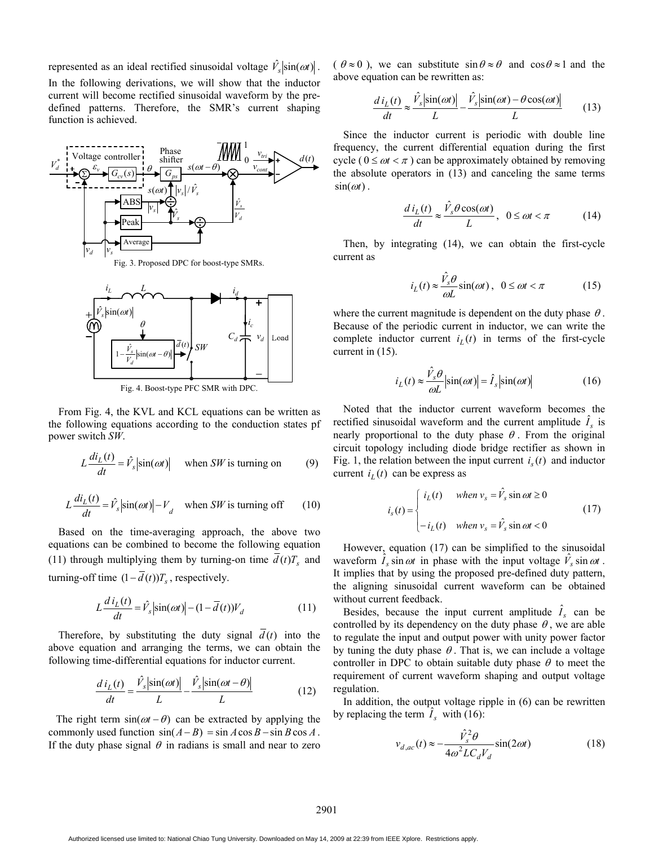represented as an ideal rectified sinusoidal voltage  $\hat{V}_s$   $\left| \sin(\omega t) \right|$ .

In the following derivations, we will show that the inductor current will become rectified sinusoidal waveform by the predefined patterns. Therefore, the SMR's current shaping function is achieved.





Fig. 4. Boost-type PFC SMR with DPC.

From Fig. 4, the KVL and KCL equations can be written as the following equations according to the conduction states pf power switch *SW*.

$$
L\frac{di_L(t)}{dt} = \hat{V}_s |\sin(\omega t)| \quad \text{when } SW \text{ is turning on} \tag{9}
$$

$$
L\frac{di_L(t)}{dt} = \hat{V}_s |\sin(\omega t)| - V_d \quad \text{when } SW \text{ is turning off} \tag{10}
$$

Based on the time-averaging approach, the above two equations can be combined to become the following equation (11) through multiplying them by turning-on time  $\overline{d}(t)T_s$  and turning-off time  $(1 - \overline{d}(t))T_s$ , respectively.

$$
L\frac{d\,i_L(t)}{dt} = \hat{V}_s \left| \sin(\omega t) \right| - (1 - \overline{d}(t))V_d \tag{11}
$$

Therefore, by substituting the duty signal  $\overline{d}(t)$  into the above equation and arranging the terms, we can obtain the following time-differential equations for inductor current.

$$
\frac{d i_L(t)}{dt} = \frac{\hat{V}_s |\sin(\omega t)|}{L} - \frac{\hat{V}_s |\sin(\omega t - \theta)|}{L}
$$
(12)

The right term  $sin(\omega t - \theta)$  can be extracted by applying the commonly used function  $sin(A - B) = sin A cos B - sin B cos A$ . If the duty phase signal  $\theta$  in radians is small and near to zero  $(\theta \approx 0)$ , we can substitute  $\sin \theta \approx \theta$  and  $\cos \theta \approx 1$  and the above equation can be rewritten as:

$$
\frac{d i_L(t)}{dt} \approx \frac{\hat{V}_s \left| \sin(\omega t) \right|}{L} - \frac{\hat{V}_s \left| \sin(\omega t) - \theta \cos(\omega t) \right|}{L} \tag{13}
$$

Since the inductor current is periodic with double line frequency, the current differential equation during the first cycle ( $0 \leq \omega t < \pi$ ) can be approximately obtained by removing the absolute operators in (13) and canceling the same terms  $sin(\omega t)$ .

$$
\frac{d i_L(t)}{dt} \approx \frac{\hat{V}_s \theta \cos(\omega t)}{L}, \ \ 0 \le \omega t < \pi \tag{14}
$$

Then, by integrating (14), we can obtain the first-cycle current as

$$
i_L(t) \approx \frac{\hat{V}_s \theta}{\omega L} \sin(\omega t), \ \ 0 \le \omega t < \pi \tag{15}
$$

where the current magnitude is dependent on the duty phase  $\theta$ . Because of the periodic current in inductor, we can write the complete inductor current  $i_l(t)$  in terms of the first-cycle current in (15).

$$
i_L(t) \approx \frac{\hat{V}_s \theta}{\omega L} \left| \sin(\omega t) \right| = \hat{I}_s \left| \sin(\omega t) \right| \tag{16}
$$

Noted that the inductor current waveform becomes the rectified sinusoidal waveform and the current amplitude  $\hat{I}_s$  is nearly proportional to the duty phase  $\theta$ . From the original circuit topology including diode bridge rectifier as shown in Fig. 1, the relation between the input current  $i<sub>s</sub>(t)$  and inductor current  $i_l(t)$  can be express as

$$
i_s(t) = \begin{cases} i_L(t) & \text{when } v_s = \hat{V}_s \sin \omega t \ge 0 \\ -i_L(t) & \text{when } v_s = \hat{V}_s \sin \omega t < 0 \end{cases} \tag{17}
$$

However, equation (17) can be simplified to the sinusoidal waveform  $\hat{I}_s \sin \omega t$  in phase with the input voltage  $\hat{V}_s \sin \omega t$ . It implies that by using the proposed pre-defined duty pattern, the aligning sinusoidal current waveform can be obtained without current feedback.

Besides, because the input current amplitude  $\hat{I}_s$  can be controlled by its dependency on the duty phase  $\theta$ , we are able to regulate the input and output power with unity power factor by tuning the duty phase  $\theta$ . That is, we can include a voltage controller in DPC to obtain suitable duty phase  $\theta$  to meet the requirement of current waveform shaping and output voltage regulation.

In addition, the output voltage ripple in (6) can be rewritten by replacing the term  $\hat{I}_s$  with (16):

$$
v_{d,ac}(t) \approx -\frac{\hat{V}_s^2 \theta}{4\omega^2 LC_d V_d} \sin(2\omega t)
$$
 (18)

Authorized licensed use limited to: National Chiao Tung University. Downloaded on May 14, 2009 at 22:39 from IEEE Xplore. Restrictions apply.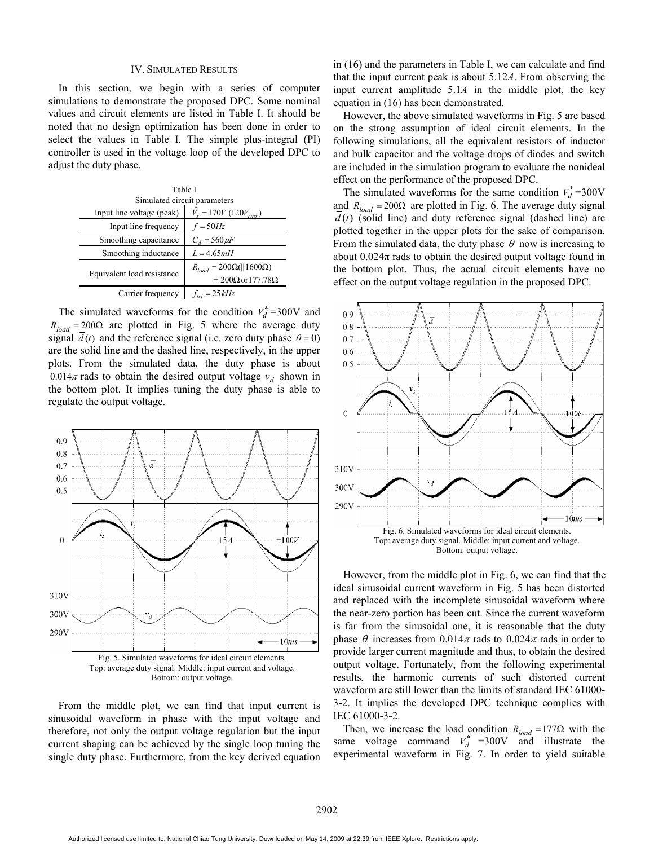### IV. SIMULATED RESULTS

In this section, we begin with a series of computer simulations to demonstrate the proposed DPC. Some nominal values and circuit elements are listed in Table I. It should be noted that no design optimization has been done in order to select the values in Table I. The simple plus-integral (PI) controller is used in the voltage loop of the developed DPC to adjust the duty phase.

| Table I                      |                                      |  |
|------------------------------|--------------------------------------|--|
| Simulated circuit parameters |                                      |  |
| Input line voltage (peak)    | $V_s = 170V (120V_{rms})$            |  |
| Input line frequency         | $f = 50Hz$                           |  |
| Smoothing capacitance        | $C_d = 560 \mu F$                    |  |
| Smoothing inductance         | $L = 4.65mH$                         |  |
| Equivalent load resistance   | $R_{load} = 200\Omega(  1600\Omega)$ |  |
|                              | $= 200\Omega$ or 177.78 $\Omega$     |  |
| Carrier frequency            | $f_{tri} = 25kHz$                    |  |

The simulated waveforms for the condition  $V_d^* = 300V$  and  $R_{load} = 200\Omega$  are plotted in Fig. 5 where the average duty signal  $\overline{d}(t)$  and the reference signal (i.e. zero duty phase  $\theta = 0$ ) are the solid line and the dashed line, respectively, in the upper plots. From the simulated data, the duty phase is about  $0.014\pi$  rads to obtain the desired output voltage  $v_d$  shown in the bottom plot. It implies tuning the duty phase is able to regulate the output voltage.



From the middle plot, we can find that input current is sinusoidal waveform in phase with the input voltage and therefore, not only the output voltage regulation but the input current shaping can be achieved by the single loop tuning the single duty phase. Furthermore, from the key derived equation

in (16) and the parameters in Table I, we can calculate and find that the input current peak is about 5.12*A*. From observing the input current amplitude 5.1*A* in the middle plot, the key equation in (16) has been demonstrated.

However, the above simulated waveforms in Fig. 5 are based on the strong assumption of ideal circuit elements. In the following simulations, all the equivalent resistors of inductor and bulk capacitor and the voltage drops of diodes and switch are included in the simulation program to evaluate the nonideal effect on the performance of the proposed DPC.

The simulated waveforms for the same condition  $V_d^* = 300V$ and  $R_{load} = 200\Omega$  are plotted in Fig. 6. The average duty signal  $d(t)$  (solid line) and duty reference signal (dashed line) are plotted together in the upper plots for the sake of comparison. From the simulated data, the duty phase  $\theta$  now is increasing to about  $0.024\pi$  rads to obtain the desired output voltage found in the bottom plot. Thus, the actual circuit elements have no effect on the output voltage regulation in the proposed DPC.



However, from the middle plot in Fig. 6, we can find that the ideal sinusoidal current waveform in Fig. 5 has been distorted and replaced with the incomplete sinusoidal waveform where the near-zero portion has been cut. Since the current waveform is far from the sinusoidal one, it is reasonable that the duty phase  $\theta$  increases from 0.014 $\pi$  rads to 0.024 $\pi$  rads in order to provide larger current magnitude and thus, to obtain the desired output voltage. Fortunately, from the following experimental results, the harmonic currents of such distorted current waveform are still lower than the limits of standard IEC 61000- 3-2. It implies the developed DPC technique complies with IEC 61000-3-2.

Then, we increase the load condition  $R_{load} = 177\Omega$  with the same voltage command  $V_d^*$  =300V and illustrate the experimental waveform in Fig. 7. In order to yield suitable

Authorized licensed use limited to: National Chiao Tung University. Downloaded on May 14, 2009 at 22:39 from IEEE Xplore. Restrictions apply.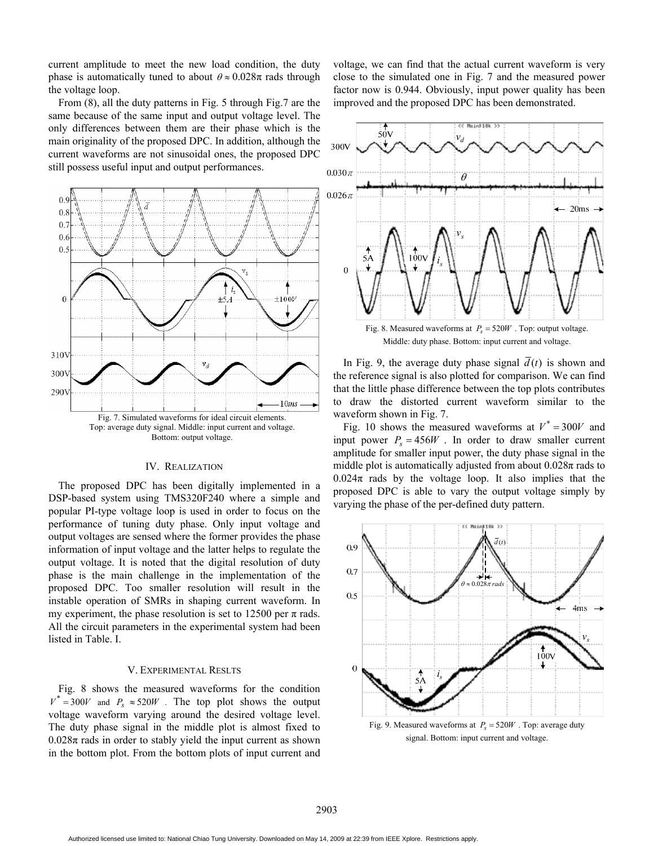current amplitude to meet the new load condition, the duty phase is automatically tuned to about  $\theta \approx 0.028\pi$  rads through the voltage loop.

From (8), all the duty patterns in Fig. 5 through Fig.7 are the same because of the same input and output voltage level. The only differences between them are their phase which is the main originality of the proposed DPC. In addition, although the current waveforms are not sinusoidal ones, the proposed DPC still possess useful input and output performances.



### IV. REALIZATION

The proposed DPC has been digitally implemented in a DSP-based system using TMS320F240 where a simple and popular PI-type voltage loop is used in order to focus on the performance of tuning duty phase. Only input voltage and output voltages are sensed where the former provides the phase information of input voltage and the latter helps to regulate the output voltage. It is noted that the digital resolution of duty phase is the main challenge in the implementation of the proposed DPC. Too smaller resolution will result in the instable operation of SMRs in shaping current waveform. In my experiment, the phase resolution is set to 12500 per  $\pi$  rads. All the circuit parameters in the experimental system had been listed in Table. I.

## V. EXPERIMENTAL RESLTS

Fig. 8 shows the measured waveforms for the condition  $V^* = 300V$  and  $P_s \approx 520W$ . The top plot shows the output voltage waveform varying around the desired voltage level. The duty phase signal in the middle plot is almost fixed to  $0.028\pi$  rads in order to stably yield the input current as shown in the bottom plot. From the bottom plots of input current and

voltage, we can find that the actual current waveform is very close to the simulated one in Fig. 7 and the measured power factor now is 0.944. Obviously, input power quality has been improved and the proposed DPC has been demonstrated.



Middle: duty phase. Bottom: input current and voltage.

In Fig. 9, the average duty phase signal  $\overline{d}(t)$  is shown and the reference signal is also plotted for comparison. We can find that the little phase difference between the top plots contributes to draw the distorted current waveform similar to the waveform shown in Fig. 7.

Fig. 10 shows the measured waveforms at  $V^* = 300V$  and input power  $P_s = 456W$ . In order to draw smaller current amplitude for smaller input power, the duty phase signal in the middle plot is automatically adjusted from about  $0.028\pi$  rads to  $0.024\pi$  rads by the voltage loop. It also implies that the proposed DPC is able to vary the output voltage simply by varying the phase of the per-defined duty pattern.